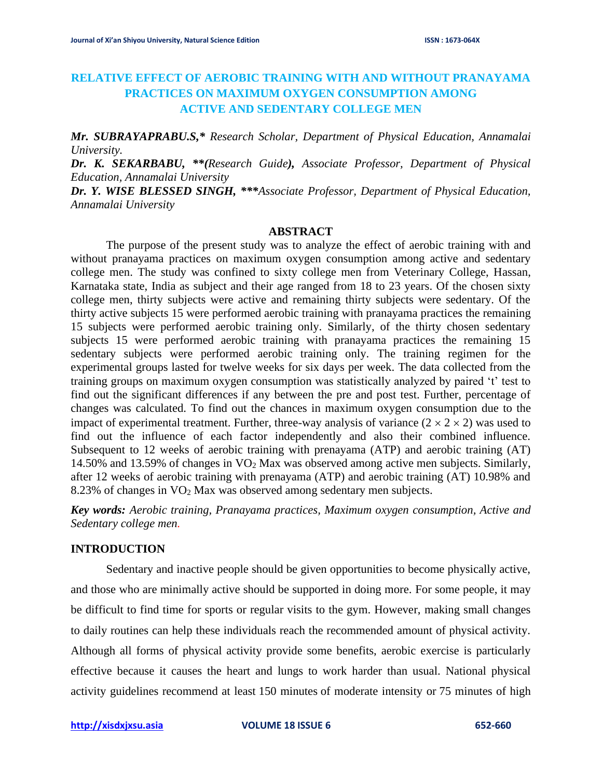# **RELATIVE EFFECT OF AEROBIC TRAINING WITH AND WITHOUT PRANAYAMA PRACTICES ON MAXIMUM OXYGEN CONSUMPTION AMONG ACTIVE AND SEDENTARY COLLEGE MEN**

*Mr. SUBRAYAPRABU.S,\* Research Scholar, Department of Physical Education, Annamalai University.* 

*Dr. K. SEKARBABU, \*\*(Research Guide), Associate Professor, Department of Physical Education, Annamalai University* 

*Dr. Y. WISE BLESSED SINGH, \*\*\*Associate Professor, Department of Physical Education, Annamalai University* 

#### **ABSTRACT**

The purpose of the present study was to analyze the effect of aerobic training with and without pranayama practices on maximum oxygen consumption among active and sedentary college men. The study was confined to sixty college men from Veterinary College, Hassan, Karnataka state, India as subject and their age ranged from 18 to 23 years. Of the chosen sixty college men, thirty subjects were active and remaining thirty subjects were sedentary. Of the thirty active subjects 15 were performed aerobic training with pranayama practices the remaining 15 subjects were performed aerobic training only. Similarly, of the thirty chosen sedentary subjects 15 were performed aerobic training with pranayama practices the remaining 15 sedentary subjects were performed aerobic training only. The training regimen for the experimental groups lasted for twelve weeks for six days per week. The data collected from the training groups on maximum oxygen consumption was statistically analyzed by paired 't' test to find out the significant differences if any between the pre and post test. Further, percentage of changes was calculated. To find out the chances in maximum oxygen consumption due to the impact of experimental treatment. Further, three-way analysis of variance  $(2 \times 2 \times 2)$  was used to find out the influence of each factor independently and also their combined influence. Subsequent to 12 weeks of aerobic training with prenayama (ATP) and aerobic training (AT) 14.50% and 13.59% of changes in VO<sup>2</sup> Max was observed among active men subjects. Similarly, after 12 weeks of aerobic training with prenayama (ATP) and aerobic training (AT) 10.98% and 8.23% of changes in VO<sup>2</sup> Max was observed among sedentary men subjects.

*Key words: Aerobic training, Pranayama practices, Maximum oxygen consumption, Active and Sedentary college men.*

## **INTRODUCTION**

Sedentary and inactive people should be given opportunities to become physically active, and those who are minimally active should be supported in doing more. For some people, it may be difficult to find time for sports or regular visits to the gym. However, making small changes to daily routines can help these individuals reach the recommended amount of physical activity. Although all forms of physical activity provide some benefits, aerobic exercise is particularly effective because it causes the heart and lungs to work harder than usual. National physical activity guidelines recommend at least 150 minutes of moderate intensity or 75 minutes of high

**[http://xisdxjxsu.asia](http://xisdxjxsu.asia/) VOLUME 18 ISSUE 6 652-660**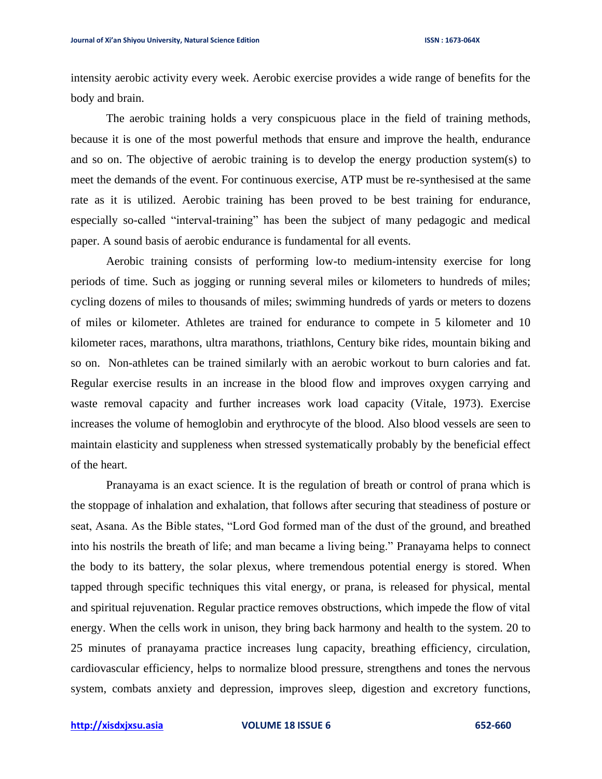intensity aerobic activity every week. Aerobic exercise provides a wide range of benefits for the body and brain.

The aerobic training holds a very conspicuous place in the field of training methods, because it is one of the most powerful methods that ensure and improve the health, endurance and so on. The objective of aerobic training is to develop the energy production system(s) to meet the demands of the event. For continuous exercise, ATP must be re-synthesised at the same rate as it is utilized. Aerobic training has been proved to be best training for endurance, especially so-called "interval-training" has been the subject of many pedagogic and medical paper. A sound basis of aerobic endurance is fundamental for all events.

Aerobic training consists of performing low-to medium-intensity exercise for long periods of time. Such as jogging or running several miles or kilometers to hundreds of miles; cycling dozens of miles to thousands of miles; swimming hundreds of yards or meters to dozens of miles or kilometer. Athletes are trained for endurance to compete in 5 kilometer and 10 kilometer races, marathons, ultra marathons, triathlons, Century bike rides, mountain biking and so on. Non-athletes can be trained similarly with an aerobic workout to burn calories and fat. Regular exercise results in an increase in the blood flow and improves oxygen carrying and waste removal capacity and further increases work load capacity (Vitale, 1973). Exercise increases the volume of hemoglobin and erythrocyte of the blood. Also blood vessels are seen to maintain elasticity and suppleness when stressed systematically probably by the beneficial effect of the heart.

Pranayama is an exact science. It is the regulation of breath or control of prana which is the stoppage of inhalation and exhalation, that follows after securing that steadiness of posture or seat, Asana. As the Bible states, "Lord God formed man of the dust of the ground, and breathed into his nostrils the breath of life; and man became a living being." Pranayama helps to connect the body to its battery, the solar plexus, where tremendous potential energy is stored. When tapped through specific techniques this vital energy, or prana, is released for physical, mental and spiritual rejuvenation. Regular practice removes obstructions, which impede the flow of vital energy. When the cells work in unison, they bring back harmony and health to the system. 20 to 25 minutes of pranayama practice increases lung capacity, breathing efficiency, circulation, cardiovascular efficiency, helps to normalize blood pressure, strengthens and tones the nervous system, combats anxiety and depression, improves sleep, digestion and excretory functions,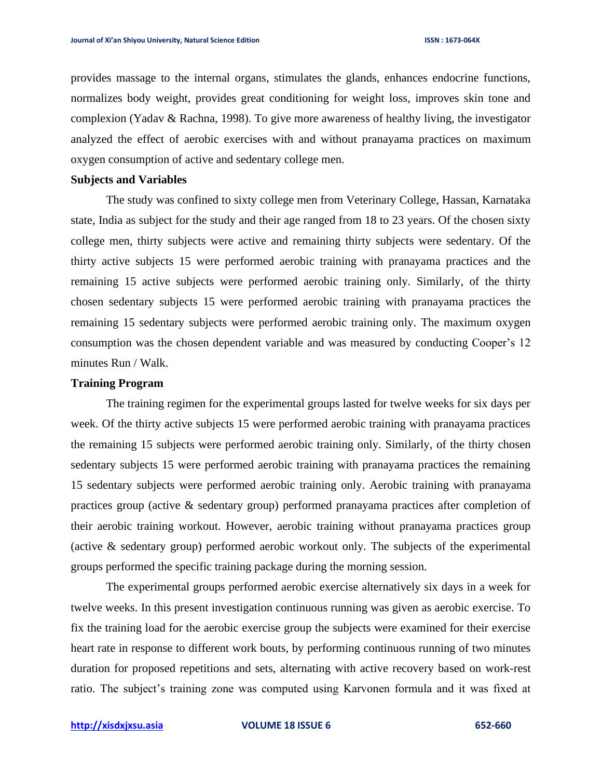provides massage to the internal organs, stimulates the glands, enhances endocrine functions, normalizes body weight, provides great conditioning for weight loss, improves skin tone and complexion (Yadav & Rachna, 1998). To give more awareness of healthy living, the investigator analyzed the effect of aerobic exercises with and without pranayama practices on maximum oxygen consumption of active and sedentary college men.

## **Subjects and Variables**

The study was confined to sixty college men from Veterinary College, Hassan, Karnataka state, India as subject for the study and their age ranged from 18 to 23 years. Of the chosen sixty college men, thirty subjects were active and remaining thirty subjects were sedentary. Of the thirty active subjects 15 were performed aerobic training with pranayama practices and the remaining 15 active subjects were performed aerobic training only. Similarly, of the thirty chosen sedentary subjects 15 were performed aerobic training with pranayama practices the remaining 15 sedentary subjects were performed aerobic training only. The maximum oxygen consumption was the chosen dependent variable and was measured by conducting Cooper's 12 minutes Run / Walk.

# **Training Program**

The training regimen for the experimental groups lasted for twelve weeks for six days per week. Of the thirty active subjects 15 were performed aerobic training with pranayama practices the remaining 15 subjects were performed aerobic training only. Similarly, of the thirty chosen sedentary subjects 15 were performed aerobic training with pranayama practices the remaining 15 sedentary subjects were performed aerobic training only. Aerobic training with pranayama practices group (active & sedentary group) performed pranayama practices after completion of their aerobic training workout. However, aerobic training without pranayama practices group (active & sedentary group) performed aerobic workout only. The subjects of the experimental groups performed the specific training package during the morning session.

The experimental groups performed aerobic exercise alternatively six days in a week for twelve weeks. In this present investigation continuous running was given as aerobic exercise. To fix the training load for the aerobic exercise group the subjects were examined for their exercise heart rate in response to different work bouts, by performing continuous running of two minutes duration for proposed repetitions and sets, alternating with active recovery based on work-rest ratio. The subject's training zone was computed using Karvonen formula and it was fixed at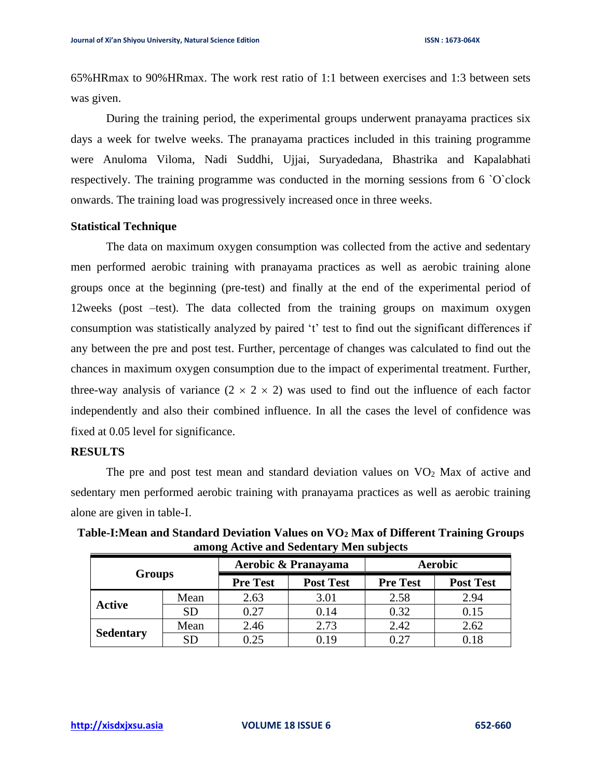65%HRmax to 90%HRmax. The work rest ratio of 1:1 between exercises and 1:3 between sets was given.

During the training period, the experimental groups underwent pranayama practices six days a week for twelve weeks. The pranayama practices included in this training programme were Anuloma Viloma, Nadi Suddhi, Ujjai, Suryadedana, Bhastrika and Kapalabhati respectively. The training programme was conducted in the morning sessions from 6 `O`clock onwards. The training load was progressively increased once in three weeks.

## **Statistical Technique**

The data on maximum oxygen consumption was collected from the active and sedentary men performed aerobic training with pranayama practices as well as aerobic training alone groups once at the beginning (pre-test) and finally at the end of the experimental period of 12weeks (post –test). The data collected from the training groups on maximum oxygen consumption was statistically analyzed by paired 't' test to find out the significant differences if any between the pre and post test. Further, percentage of changes was calculated to find out the chances in maximum oxygen consumption due to the impact of experimental treatment. Further, three-way analysis of variance  $(2 \times 2 \times 2)$  was used to find out the influence of each factor independently and also their combined influence. In all the cases the level of confidence was fixed at 0.05 level for significance.

#### **RESULTS**

The pre and post test mean and standard deviation values on  $VO<sub>2</sub>$  Max of active and sedentary men performed aerobic training with pranayama practices as well as aerobic training alone are given in table-I.

| <b>Groups</b>    |           |                 | Aerobic & Pranayama | <b>Aerobic</b>  |                  |  |
|------------------|-----------|-----------------|---------------------|-----------------|------------------|--|
|                  |           | <b>Pre Test</b> | <b>Post Test</b>    | <b>Pre Test</b> | <b>Post Test</b> |  |
| <b>Active</b>    | Mean      | 2.63            | 3.01                | 2.58            | 2.94             |  |
|                  | <b>SD</b> | 0.27            | 0.14                | 0.32            | 0.15             |  |
| <b>Sedentary</b> | Mean      | 2.46            | 2.73                | 2.42            | 2.62             |  |
|                  | SD        | 0.25            | 0.19                | 0.27            | 0.18             |  |

**Table-I:Mean and Standard Deviation Values on VO<sup>2</sup> Max of Different Training Groups among Active and Sedentary Men subjects**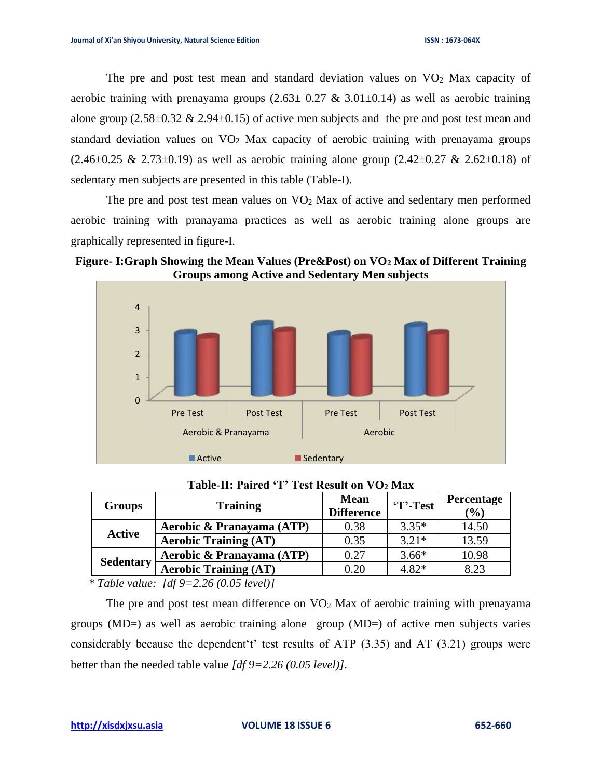The pre and post test mean and standard deviation values on  $VO<sub>2</sub>$  Max capacity of aerobic training with prenayama groups  $(2.63 \pm 0.27 \& 3.01 \pm 0.14)$  as well as aerobic training alone group  $(2.58\pm0.32 \& 2.94\pm0.15)$  of active men subjects and the pre and post test mean and standard deviation values on  $VO<sub>2</sub>$  Max capacity of aerobic training with prenayama groups  $(2.46\pm0.25 \& 2.73\pm0.19)$  as well as aerobic training alone group  $(2.42\pm0.27 \& 2.62\pm0.18)$  of sedentary men subjects are presented in this table (Table-I).

The pre and post test mean values on  $VO<sub>2</sub>$  Max of active and sedentary men performed aerobic training with pranayama practices as well as aerobic training alone groups are graphically represented in figure-I.

**Figure- I:Graph Showing the Mean Values (Pre&Post) on VO<sup>2</sup> Max of Different Training Groups among Active and Sedentary Men subjects**



| <b>Groups</b>    | <b>Training</b>              | <b>Mean</b><br><b>Difference</b> | 'T'-Test | Percentage<br>$(\%)$ |
|------------------|------------------------------|----------------------------------|----------|----------------------|
| <b>Active</b>    | Aerobic & Pranayama (ATP)    | 0.38                             | $3.35*$  | 14.50                |
|                  | <b>Aerobic Training (AT)</b> | 0.35                             | $3.21*$  | 13.59                |
| <b>Sedentary</b> | Aerobic & Pranayama (ATP)    | 0.27                             | $3.66*$  | 10.98                |
|                  | <b>Aerobic Training (AT)</b> | 0.20                             | $4.82*$  | 8.23                 |

**Table**-**II: Paired 'T' Test Result on VO<sup>2</sup> Max**

 *\* Table value: [df 9=2.26 (0.05 level)]*

The pre and post test mean difference on  $VO<sub>2</sub>$  Max of aerobic training with prenayama groups (MD=) as well as aerobic training alone group (MD=) of active men subjects varies considerably because the dependent't' test results of ATP (3.35) and AT (3.21) groups were better than the needed table value *[df 9=2.26 (0.05 level)]*.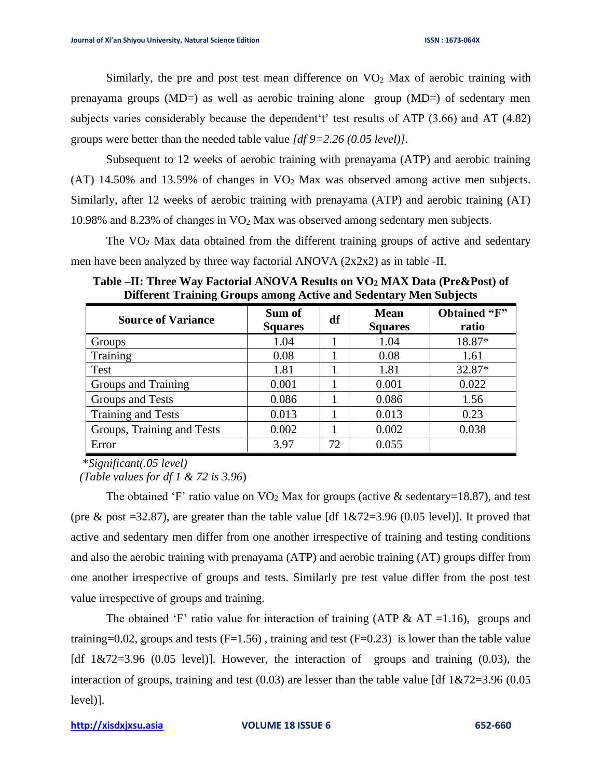Similarly, the pre and post test mean difference on  $VO<sub>2</sub>$  Max of aerobic training with prenayama groups (MD=) as well as aerobic training alone group (MD=) of sedentary men subjects varies considerably because the dependent't' test results of ATP (3.66) and AT (4.82) groups were better than the needed table value *[df 9=2.26 (0.05 level)]*.

Subsequent to 12 weeks of aerobic training with prenayama (ATP) and aerobic training (AT) 14.50% and 13.59% of changes in  $\rm{VO}_2$  Max was observed among active men subjects. Similarly, after 12 weeks of aerobic training with prenayama (ATP) and aerobic training (AT) 10.98% and 8.23% of changes in VO<sup>2</sup> Max was observed among sedentary men subjects.

The  $VO<sub>2</sub>$  Max data obtained from the different training groups of active and sedentary men have been analyzed by three way factorial ANOVA  $(2x2x2)$  as in table -II.

| <b>Source of Variance</b>  | Sum of<br><b>Squares</b> | df | <b>Mean</b><br><b>Squares</b> | Obtained "F"<br>ratio |
|----------------------------|--------------------------|----|-------------------------------|-----------------------|
| Groups                     | 1.04                     |    | 1.04                          | 18.87*                |
| Training                   | 0.08                     |    | 0.08                          | 1.61                  |
| Test                       | 1.81                     |    | 1.81                          | 32.87*                |
| Groups and Training        | 0.001                    |    | 0.001                         | 0.022                 |
| Groups and Tests           | 0.086                    |    | 0.086                         | 1.56                  |
| Training and Tests         | 0.013                    |    | 0.013                         | 0.23                  |
| Groups, Training and Tests | 0.002                    |    | 0.002                         | 0.038                 |
| Error                      | 3.97                     | 72 | 0.055                         |                       |

**Table –II: Three Way Factorial ANOVA Results on VO<sup>2</sup> MAX Data (Pre&Post) of Different Training Groups among Active and Sedentary Men Subjects**

\**Significant(.05 level)*

 *(Table values for df 1 & 72 is 3.96*)

The obtained 'F' ratio value on  $\text{VO}_2$  Max for groups (active & sedentary=18.87), and test (pre & post  $=32.87$ ), are greater than the table value [df  $1&72=3.96$  (0.05 level)]. It proved that active and sedentary men differ from one another irrespective of training and testing conditions and also the aerobic training with prenayama (ATP) and aerobic training (AT) groups differ from one another irrespective of groups and tests. Similarly pre test value differ from the post test value irrespective of groups and training.

The obtained 'F' ratio value for interaction of training (ATP & AT = 1.16), groups and training=0.02, groups and tests  $(F=1.56)$ , training and test  $(F=0.23)$  is lower than the table value [df 1&72=3.96 (0.05 level)]. However*,* the interaction of groups and training (0.03), the interaction of groups, training and test  $(0.03)$  are lesser than the table value [df  $1\&72=3.96$  (0.05 level)].

**[http://xisdxjxsu.asia](http://xisdxjxsu.asia/) VOLUME 18 ISSUE 6 652-660**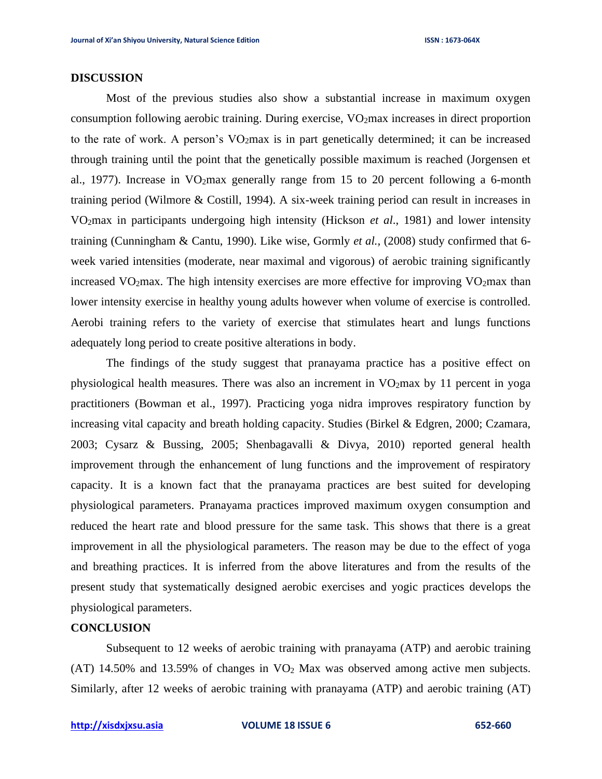#### **DISCUSSION**

Most of the previous studies also show a substantial increase in maximum oxygen consumption following aerobic training. During exercise, VO<sub>2</sub>max increases in direct proportion to the rate of work. A person's  $VO<sub>2</sub>max$  is in part genetically determined; it can be increased through training until the point that the genetically possible maximum is reached (Jorgensen et al., 1977). Increase in VO2max generally range from 15 to 20 percent following a 6-month training period (Wilmore & Costill, 1994). A six-week training period can result in increases in VO2max in participants undergoing high intensity (Hickson *et al*., 1981) and lower intensity training (Cunningham & Cantu, 1990). Like wise, Gormly *et al.,* (2008) study confirmed that 6 week varied intensities (moderate, near maximal and vigorous) of aerobic training significantly increased  $VO<sub>2</sub>max$ . The high intensity exercises are more effective for improving  $VO<sub>2</sub>max$  than lower intensity exercise in healthy young adults however when volume of exercise is controlled. Aerobi training refers to the variety of exercise that stimulates heart and lungs functions adequately long period to create positive alterations in body.

The findings of the study suggest that pranayama practice has a positive effect on physiological health measures. There was also an increment in VO2max by 11 percent in yoga practitioners (Bowman et al., 1997). Practicing yoga nidra improves respiratory function by increasing vital capacity and breath holding capacity. Studies (Birkel & Edgren, 2000; Czamara, 2003; Cysarz & Bussing, 2005; Shenbagavalli & Divya, 2010) reported general health improvement through the enhancement of lung functions and the improvement of respiratory capacity. It is a known fact that the pranayama practices are best suited for developing physiological parameters. Pranayama practices improved maximum oxygen consumption and reduced the heart rate and blood pressure for the same task. This shows that there is a great improvement in all the physiological parameters. The reason may be due to the effect of yoga and breathing practices. It is inferred from the above literatures and from the results of the present study that systematically designed aerobic exercises and yogic practices develops the physiological parameters.

# **CONCLUSION**

Subsequent to 12 weeks of aerobic training with pranayama (ATP) and aerobic training (AT) 14.50% and 13.59% of changes in  $VO<sub>2</sub>$  Max was observed among active men subjects. Similarly, after 12 weeks of aerobic training with pranayama (ATP) and aerobic training (AT)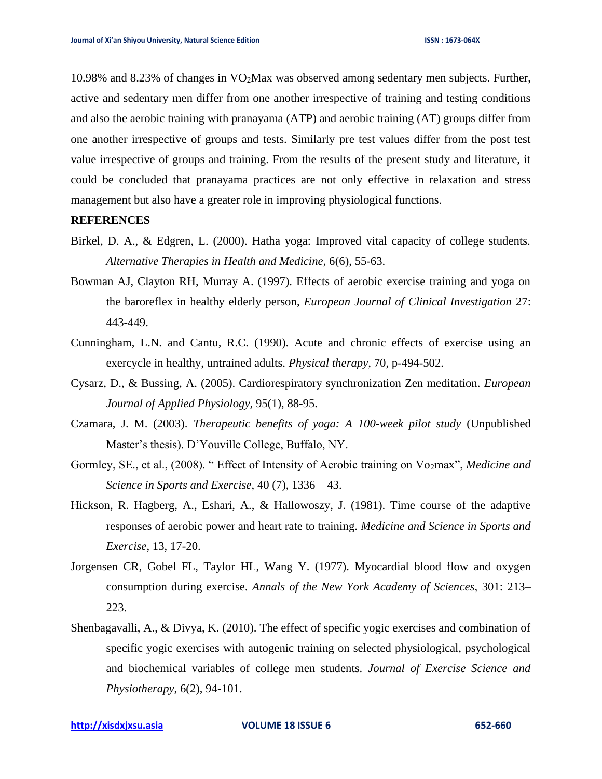10.98% and 8.23% of changes in VO2Max was observed among sedentary men subjects. Further, active and sedentary men differ from one another irrespective of training and testing conditions and also the aerobic training with pranayama (ATP) and aerobic training (AT) groups differ from one another irrespective of groups and tests. Similarly pre test values differ from the post test value irrespective of groups and training. From the results of the present study and literature, it could be concluded that pranayama practices are not only effective in relaxation and stress management but also have a greater role in improving physiological functions.

#### **REFERENCES**

- Birkel, D. A., & Edgren, L. (2000). Hatha yoga: Improved vital capacity of college students. *Alternative Therapies in Health and Medicine*, 6(6), 55-63.
- Bowman AJ, Clayton RH, Murray A. (1997). Effects of aerobic exercise training and yoga on the baroreflex in healthy elderly person, *European Journal of Clinical Investigation* 27: 443-449.
- Cunningham, L.N. and Cantu, R.C. (1990). Acute and chronic effects of exercise using an exercycle in healthy, untrained adults. *Physical therapy,* 70, p-494-502.
- Cysarz, D., & Bussing, A. (2005). Cardiorespiratory synchronization Zen meditation. *European Journal of Applied Physiology,* 95(1), 88-95.
- Czamara, J. M. (2003). *Therapeutic benefits of yoga: A 100-week pilot study* (Unpublished Master's thesis). D'Youville College, Buffalo, NY.
- Gormley, SE., et al., (2008). " Effect of Intensity of Aerobic training on Vo2max", *Medicine and Science in Sports and Exercise*, 40 (7), 1336 – 43.
- Hickson, R. Hagberg, A., Eshari, A., & Hallowoszy, J. (1981). Time course of the adaptive responses of aerobic power and heart rate to training. *Medicine and Science in Sports and Exercise*, 13, 17-20.
- Jorgensen CR, Gobel FL, Taylor HL, Wang Y. (1977). Myocardial blood flow and oxygen consumption during exercise. *Annals of the New York Academy of Sciences,* 301: 213– 223.
- Shenbagavalli, A., & Divya, K. (2010). The effect of specific yogic exercises and combination of specific yogic exercises with autogenic training on selected physiological, psychological and biochemical variables of college men students. *Journal of Exercise Science and Physiotherapy*, 6(2), 94-101.